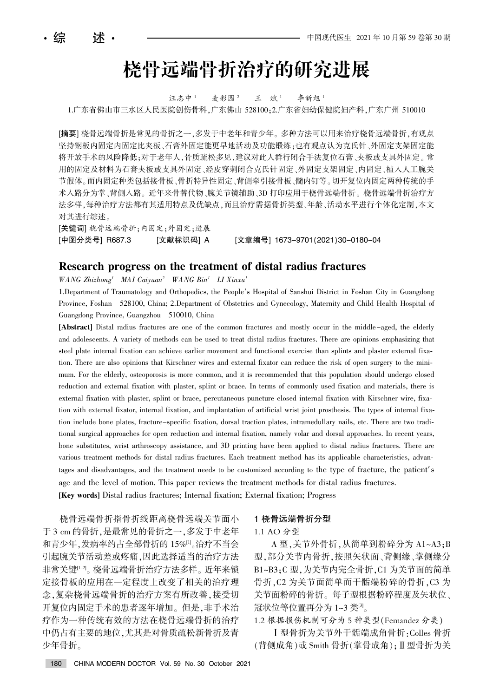# 桡骨远端骨折治疗的研究进展

汪志中<sup>1</sup> 麦彩园<sup>2</sup> 王 斌<sup>1</sup> 李新旭<sup>1</sup>

1.广东省佛山市三水区人民医院创伤骨科,广东佛山 528100;2.广东省妇幼保健院妇产科,广东广州 510010

[摘要] 桡骨远端骨折是常见的骨折之一,多发于中老年和青少年。多种方法可以用来治疗桡骨远端骨折,有观点 坚持钢板内固定内固定比夹板、石膏外固定能更早地活动及功能锻炼;也有观点认为克氏针、外固定支架固定能 将开放手术的风险降低;对于老年人,骨质疏松多见,建议对此人群行闭合手法复位石膏、夹板或支具外固定。常 用的固定及材料为石膏夹板或支具外固定、经皮穿刺闭合克氏针固定、外固定支架固定、内固定、植入人工腕关 节假体。而内固定种类包括接骨折、骨折特异性固定、背侧牵引接骨板、髓内钉等。切开复位内固定两种传统的手 术入路分为掌、背侧入路。近年来骨替代物、腕关节镜辅助、3D 打印应用于桡骨远端骨折。桡骨远端骨折治疗方 法多样,每种治疗方法都有其适用特点及优缺点,而且治疗需据骨折类型、年龄、活动水平进行个体化定制,本文 对其进行综述。

[关键词] 桡骨远端骨折;内固定;外固定;进展 [中图分类号] R687.3 [文献标识码] A [文章编号] 1673-9701(2021)30-0180-04

# Research progress on the treatment of distal radius fractures

 $WANG\ Zhizhong<sup>1</sup>$  MAI Caiyuan<sup>2</sup> WANG Bin<sup>1</sup> LI Xinxu<sup>1</sup>

1.Department of Traumatology and Orthopedics, the People's Hospital of Sanshui District in Foshan City in Guangdong Province, Foshan 528100, China; 2.Department of Obstetrics and Gynecology, Maternity and Child Health Hospital of Guangdong Province, Guangzhou 510010, China

[Abstract] Distal radius fractures are one of the common fractures and mostly occur in the middle-aged, the elderly and adolescents. A variety of methods can be used to treat distal radius fractures. There are opinions emphasizing that steel plate internal fixation can achieve earlier movement and functional exercise than splints and plaster external fixation. There are also opinions that Kirschner wires and external fixator can reduce the risk of open surgery to the minimum. For the elderly, osteoporosis is more common, and it is recommended that this population should undergo closed reduction and external fixation with plaster, splint or brace. In terms of commonly used fixation and materials, there is external fixation with plaster, splint or brace, percutaneous puncture closed internal fixation with Kirschner wire, fixation with external fixator, internal fixation, and implantation of artificial wrist joint prosthesis. The types of internal fixation include bone plates, fracture-specific fixation, dorsal traction plates, intramedullary nails, etc. There are two traditional surgical approaches for open reduction and internal fixation, namely volar and dorsal approaches. In recent years, bone substitutes, wrist arthroscopy assistance, and 3D printing have been applied to distal radius fractures. There are various treatment methods for distal radius fractures. Each treatment method has its applicable characteristics, advantages and disadvantages, and the treatment needs to be customized according to the type of fracture, the patient's age and the level of motion. This paper reviews the treatment methods for distal radius fractures. [Key words] Distal radius fractures; Internal fixation; External fixation; Progress

桡骨远端骨折指骨折线距离桡骨远端关节面小 于 3 cm 的骨折, 是最常见的骨折之一, 多发于中老年 和青少年,发病率约占全部骨折的 15%[1]。治疗不当会 引起腕关节活动差或疼痛,因此选择适当的治疗方法 非常关键<sup>[1-2]</sup>。 桡骨远端骨折治疗方法多样。 近年来锁 定接骨板的应用在一定程度上改变了相关的治疗理 念,复杂桡骨远端骨折的治疗方案有所改善,接受切 开复位内固定手术的患者逐年增加。但是,非手术治 疗作为一种传统有效的方法在桡骨远端骨折的治疗 中仍占有主要的地位,尤其是对骨质疏松新骨折及青 少年骨折。

#### 1 桡骨远端骨折分型

#### 1.1 AO 分型

A 型,关节外骨折,从简单到粉碎分为 A1~A3;B 型,部分关节内骨折,按照矢状面、背侧缘、掌侧缘分 B1~B3:C 型, 为关节内完全骨折, C1 为关节面的简单 骨折, C2 为关节面简单而干骺端粉碎的骨折, C3 为 关节面粉碎的骨折。每子型根据粉碎程度及矢状位、 冠状位等位置再分为 1~3 类[3]。

1.2 根据损伤机制可分为 5 种类型(Femandez 分类)

I 型骨折为关节外干骺端成角骨折: Colles 骨折 (背侧成角)或 Smith 骨折(掌骨成角); Ⅱ型骨折为关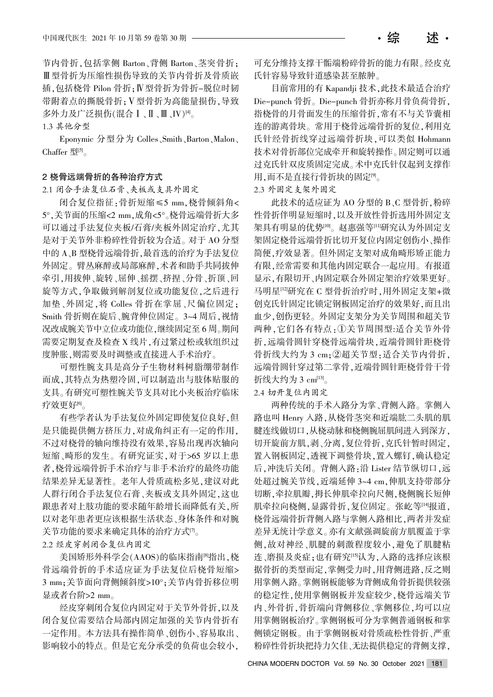节内骨折,包括掌侧 Barton、背侧 Barton、茎突骨折; Ⅲ型骨折为压缩性损伤导致的关节内骨折及骨质嵌 插. 句括桡骨 Pilon 骨折: N 型骨折为骨折-脱位时韧 带附着点的撕脱骨折; V型骨折为高能量损伤, 导致 多外力及广泛损伤(混合Ⅰ、Ⅱ、Ⅲ、IV)[4]。

1.3 其他分型

Eponymic 分型分为 Colles、Smith、Barton、Malon、 Chaffer  $\mathbb{E}^{[5]}$ 

### 2 桡骨远端骨折的各种治疗方式

2.1 闭合手法复位石膏、夹板或支具外固定

闭合复位指征:骨折短缩≤5 mm,桡骨倾斜角< 5°,关节面的压缩<2 mm,成角<5°。桡骨远端骨折大多 可以通过手法复位夹板/石膏/夹板外固定治疗,尤其 是对于关节外非粉碎性骨折较为合适。对于 AO 分型 中的 A、B 型桡骨远端骨折,最首选的治疗为手法复位 外固定。臂丛麻醉或局部麻醉,术者和助手共同拔伸 牵引,用拔伸、旋转、屈伸、摇摆、挤捏、分骨、折顶、回 旋等方式,争取做到解剖复位或功能复位,之后进行 加垫、外固定, 将 Colles 骨折在掌屈、尺偏位固定: Smith 骨折则在旋后、腕背伸位固定。3~4 周后, 视情 况改成腕关节中立位或功能位,继续固定至 6 周。期间 需要定期复查及检查 X 线片,有过紧过松或软组织过 度肿胀,则需要及时调整或直接进入手术治疗。

可塑性腕支具是高分子生物材料树脂绷带制作 而成,其特点为热塑冷固,可以制造出与肢体贴服的 支具。有研究可塑性腕关节支具对比小夹板治疗临床 疗效更好<sup>[6]</sup>。

有些学者认为手法复位外固定即使复位良好,但 是只能提供侧方挤压力,对成角纠正有一定的作用, 不过对桡骨的轴向维持没有效果, 容易出现再次轴向 短缩、畸形的发生。有研究证实,对于>65 岁以上患 者,桡骨远端骨折手术治疗手术治疗的最终功能 结果差异无显著性。老年人骨质疏松多见,建议对此 人群行闭合手法复位石膏、夹板或支具外固定,这也 跟患者对上肢功能的要求随年龄增长而降低有关,所 以对老年患者更应该根据生活状态、身体条件和对腕 关节功能的要求来确定具体的治疗方式[7]。 2.2 经皮穿刺闭合复位内固定

美国矫形外科学会(AAOS)的临床指南<sup>88</sup>指出,桡 骨远端骨折的手术适应证为手法复位后桡骨短缩> 3 mm; 关节面向背侧倾斜度>10°; 关节内骨折移位明 显或者台阶>2 mm。

经皮穿刺闭合复位内固定对于关节外骨折,以及 闭合复位需要结合局部内固定加强的关节内骨折有 一定作用。本方法具有操作简单、创伤小、容易取出、 影响较小的特点。但是它充分承受的负荷也会较小,

可充分维持支撑干骺端粉碎骨折的能力有限。经皮克 氏针容易导致针道感染甚至脓肿。

目前常用的有 Kapandji 技术,此技术最适合治疗 Die-punch 骨折。Die-punch 骨折亦称月骨负荷骨折, 指桡骨的月骨面发生的压缩骨折,常有不与关节囊相 连的游离骨块。常用于桡骨远端骨折的复位,利用克 氏针经骨折线穿过远端骨折块,可以类似 Hohmann 技术对骨折部位完成牵开和旋转操作。固定则可以通 过克氏针双皮质固定完成。术中克氏针仅起到支撑作 用,而不是直接行骨折块的固定[9]。

2.3 外固定支架外固定

此技术的适应证为 AO 分型的 B、C 型骨折, 粉碎 性骨折伴明显短缩时,以及开放性骨折选用外固定支 架具有明显的优势<sup>[10]</sup>。赵惠强等[1]研究认为外固定支 架固定桡骨远端骨折比切开复位内固定创伤小、操作 简便,疗效显著。但外固定支架对成角畸形矫正能力 有限,经常需要和其他内固定联合一起应用。有报道 显示,有限切开、内固定联合外固定架治疗效果更好。 马明星[12]研究在 C 型骨折治疗时,用外固定支架+微 创克氏针固定比锁定钢板固定治疗的效果好,而且出 血少,创伤更轻。外固定支架分为关节周围和超关节 两种,它们各有特点:①关节周围型:适合关节外骨 折,远端骨圆针穿桡骨远端骨块,近端骨圆针距桡骨 骨折线大约为 3 cm; ②超关节型: 适合关节内骨折, 远端骨圆针穿过第二掌骨,近端骨圆针距桡骨骨干骨 折线大约为 3  $cm^{[13]}$ 。

# 2.4 切开复位内固定

两种传统的手术入路分为掌、背侧入路。掌侧入 路也叫 Henry 入路,从桡骨茎突和近端肱二头肌的肌 腱连线做切口,从桡动脉和桡侧腕屈肌间进入到深方, 切开旋前方肌,剥、分离,复位骨折,克氏针暂时固定, 置入钢板固定,透视下调整骨块,置入螺钉,确认稳定 后,冲洗后关闭。背侧入路:沿 Lister 结节纵切口,远 处超过腕关节线, 近端延伸 3~4 cm, 伸肌支持带部分 切断,牵拉肌瓣,拇长伸肌牵拉向尺侧,桡侧腕长短伸 肌牵拉向桡侧,显露骨折,复位固定。张屹等[14]报道, 桡骨远端骨折背侧入路与掌侧入路相比,两者并发症 差异无统计学意义。亦有文献强调旋前方肌覆盖于掌 侧,故对神经、肌腱的刺激程度较小,避免了肌腱粘 连、磨损及炎症;也有研究[15]认为,入路的选择应该根 据骨折的类型而定,掌侧受力时,用背侧进路,反之则 用掌侧入路。掌侧钢板能够为背侧成角骨折提供较强 的稳定性,使用掌侧钢板并发症较少,桡骨远端关节 内、外骨折,骨折端向背侧移位、掌侧移位,均可以应 用掌侧钢板治疗。掌侧钢板可分为掌侧普通钢板和掌 侧锁定钢板。由于掌侧钢板对骨质疏松性骨折、严重 粉碎性骨折块把持力欠佳、无法提供稳定的背侧支撑,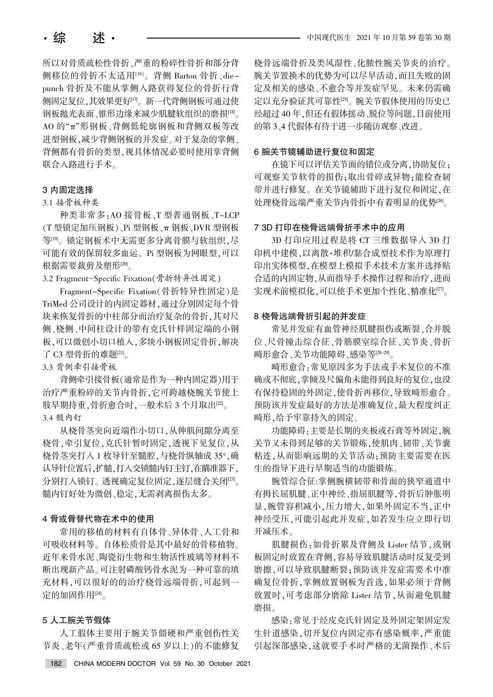所以对骨质疏松性骨折、严重的粉碎性骨折和部分背 侧移位的骨折不太适用[16]。背侧 Barton 骨折、diepunch 骨折及不能从掌侧入路获得复位的骨折行背 侧固定复位,其效果更好[17]。新一代背侧钢板可通过使 钢板抛光表面、锥形边缘来减少肌腱软组织的磨损[18]。 AO 的"π"形钢板、背侧低轮廓钢板和背侧双板等改 进型钢板,减少背侧钢板的并发症。对于复杂的掌侧、 背侧都有骨折的类型,视具体情况必要时使用掌背侧 联合入路进行手术。

#### 3 内固定选择

## 3.1 接骨板种类

种类非常多:AO 接骨板、T 型普通钢板、T-LCP (T型锁定加压钢板)、Pi 型钢板、π钢板、DVR 型钢板 等[19]。锁定钢板术中无需更多分离骨膜与软组织,尽 可能有效的保留较多血运。Pi 型钢板为网眼型,可以 根据需要裁剪及塑形[20]。

3.2 Fragment-Specific Fixation(骨折特异性固定)

Fragment-Specific Fixation (骨折特异性固定)是 TriMed 公司设计的内固定器材, 通过分别固定每个骨 块来恢复骨折的中柱部分而治疗复杂的骨折,其对尺 侧尧桡侧尧中间柱设计的带有克氏针样固定端的小钢 板,可以微创小切口植入,多块小钢板固定骨折,解决 了 C3 型骨折的难题[21]。

3.3 背侧牵引接骨板

背侧牵引接骨板(通常是作为一种内固定器)用于 治疗严重粉碎的关节内骨折, 它可跨越桡腕关节使上 肢早期持重,骨折愈合时,一般术后 3 个月取出[22]。 3.4 髓内钉

从桡骨茎突向近端作小切口,从伸肌间隙分离至 桡骨,牵引复位,克氏针暂时固定,透视下见复位,从 桡骨茎突打入 1 枚导针至髓腔, 与桡骨纵轴成 35°, 确 认导针位置后,扩髓,打入交锁髓内钉主钉,在瞄准器下, 分别打入锁钉。透视确定复位固定,逐层缝合关闭[23]。 髓内钉好处为微创、稳定,无需剥离损伤太多。

# 4 骨或骨替代物在术中的使用

常用的移植的材料有自体骨、异体骨、人工骨和 可吸收材料等。自体松质骨是其中最好的骨移植物。 近年来骨水泥、陶瓷衍生物和生物活性玻璃等材料不 断出现新产品。可注射磷酸钙骨水泥为一种可靠的填 充材料,可以很好的的治疗桡骨远端骨折,可起到一 定的加固作用[24]。

# 5 人工腕关节假体

人工假体主要用于腕关节僵硬和严重创伤性关 节炎、老年(严重骨质疏松或 65 岁以上)的不能修复

桡骨远端骨折及类风湿性、化脓性腕关节炎的治疗。 腕关节置换术的优势为可以尽早活动,而且失败的固 定及相关的感染、不愈合等并发症罕见。未来仍需确 定以充分验证其可靠性[25]。腕关节假体使用的历史已 经超过40年,但还有假体摇动、脱位等问题,目前使用 的第 3、4 代假体有待于进一步随访观察、改进。

### 6 腕关节镜辅助进行复位和固定

在镜下可以评估关节面的错位或分离,协助复位: 可观察关节软骨的损伤:取出骨碎或异物:能检查韧 带并进行修复。在关节镜辅助下进行复位和固定,在 处理桡骨远端严重关节内骨折中有着明显的优势[26]。

#### 7 3D 打印在桡骨远端骨折手术中的应用

3D 打印应用过程是将 CT 三维数据导入 3D 打 印机中建模,以离散·堆积/黏合成型技术作为原理打 印出实体模型,在模型上模拟手术技术方案并选择贴 合适的内固定物,从而指导手术操作过程和治疗,进而 实现术前模拟化,可以使手术更加个性化、精准化[27]。

### 8 桡骨远端骨折引起的并发症

常见并发症有血管神经肌腱损伤或断裂、合并脱 位、尺骨撞击综合征、骨筋膜室综合征、关节炎、骨折 畸形愈合、关节功能障碍、感染等[28-29]。

畸形愈合:常见原因多为手法或手术复位的不准 确或不彻底,掌倾及尺偏角未能得到良好的复位,也没 有保持稳固的外固定,使骨折再移位,导致畸形愈合。 预防该并发症最好的方法是准确复位,最大程度纠正 畸形,给予牢靠持久的固定。

功能障碍:主要是长期的夹板或石膏等外固定,腕 关节又未得到足够的关节锻炼,使肌肉、韧带、关节囊 粘连,从而影响远期的关节活动;预防主要需要在医 生的指导下进行早期适当的功能锻炼。

腕管综合征:掌侧腕横韧带和骨面的狭窄通道中 有拇长屈肌腱、正中神经、指屈肌腱等,骨折后肿胀明 显,腕管容积减小,压力增大,如果外固定不当,正中 神经受压,可能引起此并发症,如若发生应立即行切 开减压术。

肌腱损伤: 如骨折累及背侧及 Lister 结节, 或钢 板固定时放置在背侧,容易导致肌腱活动时反复受到 磨擦,可以导致肌腱断裂;预防该并发症需要术中准 确复位骨折,掌侧放置钢板为首选,如果必须于背侧 放置时,可考虑部分磨除 Lister 结节,从而避免肌腱 磨损。

感染:常见于经皮克氏针固定及外固定架固定发 生针道感染,切开复位内固定亦有感染概率,严重能 引起深部感染,这就要手术时严格的无菌操作、术后